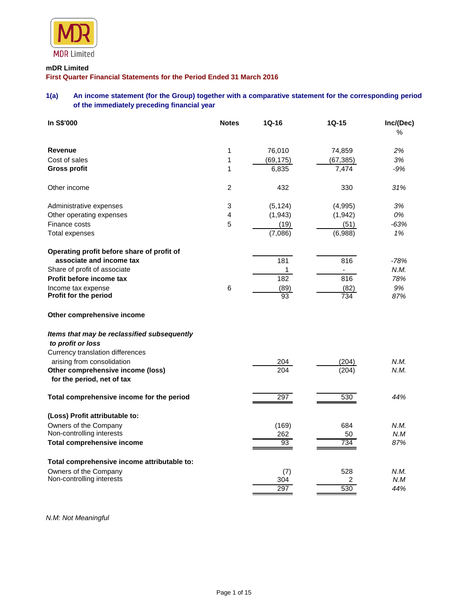

## **mDR Limited**

**First Quarter Financial Statements for the Period Ended 31 March 2016**

## **1(a) An income statement (for the Group) together with a comparative statement for the corresponding period of the immediately preceding financial year**

| In S\$'000                                                       | <b>Notes</b>   | 1Q-16      | $1Q-15$                  | Inc/(Dec)<br>% |
|------------------------------------------------------------------|----------------|------------|--------------------------|----------------|
| <b>Revenue</b>                                                   | 1              | 76,010     | 74,859                   | 2%             |
| Cost of sales                                                    | 1              | (69, 175)  | (67, 385)                | 3%             |
| <b>Gross profit</b>                                              | 1              | 6,835      | 7,474                    | -9%            |
| Other income                                                     | $\overline{2}$ | 432        | 330                      | 31%            |
| Administrative expenses                                          | 3              | (5, 124)   | (4,995)                  | 3%             |
| Other operating expenses                                         | 4              | (1,943)    | (1,942)                  | 0%             |
| Finance costs                                                    | 5              | (19)       | (51)                     | $-63%$         |
| Total expenses                                                   |                | (7,086)    | (6,988)                  | 1%             |
| Operating profit before share of profit of                       |                |            |                          |                |
| associate and income tax                                         |                | 181        | 816                      | $-78%$         |
| Share of profit of associate                                     |                | 1          | $\overline{\phantom{a}}$ | N.M.           |
| Profit before income tax                                         |                | 182        | $\overline{8}16$         | 78%            |
| Income tax expense<br>Profit for the period                      | 6              | (89)<br>93 | (82)<br>734              | 9%<br>87%      |
| Other comprehensive income                                       |                |            |                          |                |
| Items that may be reclassified subsequently<br>to profit or loss |                |            |                          |                |
| Currency translation differences                                 |                |            |                          |                |
| arising from consolidation                                       |                | 204        | (204)                    | N.M.           |
| Other comprehensive income (loss)<br>for the period, net of tax  |                | 204        | (204)                    | N.M.           |
| Total comprehensive income for the period                        |                | 297        | 530                      | 44%            |
| (Loss) Profit attributable to:                                   |                |            |                          |                |
| Owners of the Company                                            |                | (169)      | 684                      | N.M.           |
| Non-controlling interests                                        |                | 262        | 50                       | N.M            |
| Total comprehensive income                                       |                | 93         | 734                      | 87%            |
| Total comprehensive income attributable to:                      |                |            |                          |                |
| Owners of the Company                                            |                | (7)        | 528                      | N.M.           |
| Non-controlling interests                                        |                | 304        | 2                        | N.M            |
|                                                                  |                | 297        | 530                      | 44%            |

*N.M: Not Meaningful*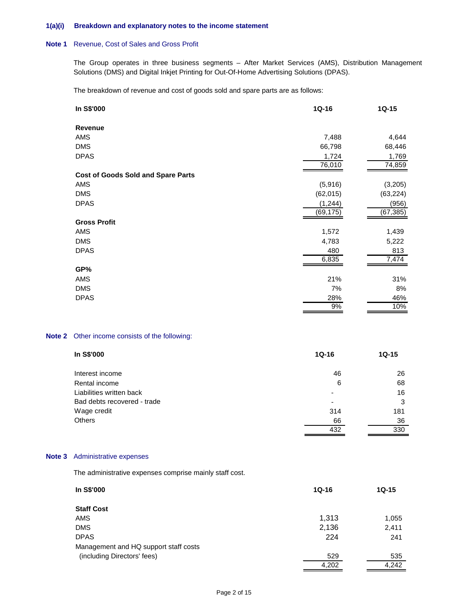### **1(a)(i) Breakdown and explanatory notes to the income statement**

#### **Note 1** Revenue, Cost of Sales and Gross Profit

The Group operates in three business segments – After Market Services (AMS), Distribution Management Solutions (DMS) and Digital Inkjet Printing for Out-Of-Home Advertising Solutions (DPAS).

The breakdown of revenue and cost of goods sold and spare parts are as follows:

| In S\$'000                                | $1Q-16$   | $1Q-15$   |
|-------------------------------------------|-----------|-----------|
| Revenue                                   |           |           |
| AMS                                       | 7,488     | 4,644     |
| <b>DMS</b>                                | 66,798    | 68,446    |
| <b>DPAS</b>                               | 1,724     | 1,769     |
|                                           | 76,010    | 74,859    |
| <b>Cost of Goods Sold and Spare Parts</b> |           |           |
| AMS                                       | (5,916)   | (3,205)   |
| <b>DMS</b>                                | (62, 015) | (63, 224) |
| <b>DPAS</b>                               | (1, 244)  | (956)     |
|                                           | (69,175)  | (67, 385) |
| <b>Gross Profit</b>                       |           |           |
| AMS                                       | 1,572     | 1,439     |
| <b>DMS</b>                                | 4,783     | 5,222     |
| <b>DPAS</b>                               | 480       | 813       |
|                                           | 6,835     | 7,474     |
| GP%                                       |           |           |
| AMS                                       | 21%       | 31%       |
| <b>DMS</b>                                | 7%        | 8%        |
| <b>DPAS</b>                               | 28%       | 46%       |
|                                           | 9%        | 10%       |

## **Note 2** Other income consists of the following:

| In S\$'000                  | $1Q-16$                  | $1Q-15$ |
|-----------------------------|--------------------------|---------|
| Interest income             | 46                       | 26      |
| Rental income               | 6                        | 68      |
| Liabilities written back    | ۰                        | 16      |
| Bad debts recovered - trade | $\overline{\phantom{a}}$ | 3       |
| Wage credit                 | 314                      | 181     |
| <b>Others</b>               | 66                       | 36      |
|                             | 432                      | 330     |

## **Note 3** Administrative expenses

The administrative expenses comprise mainly staff cost.

| In S\$'000                            | $1Q-16$ | $1Q-15$ |
|---------------------------------------|---------|---------|
| <b>Staff Cost</b>                     |         |         |
| AMS                                   | 1,313   | 1,055   |
| <b>DMS</b>                            | 2,136   | 2,411   |
| <b>DPAS</b>                           | 224     | 241     |
| Management and HQ support staff costs |         |         |
| (including Directors' fees)           | 529     | 535     |
|                                       | 4,202   | 4.242   |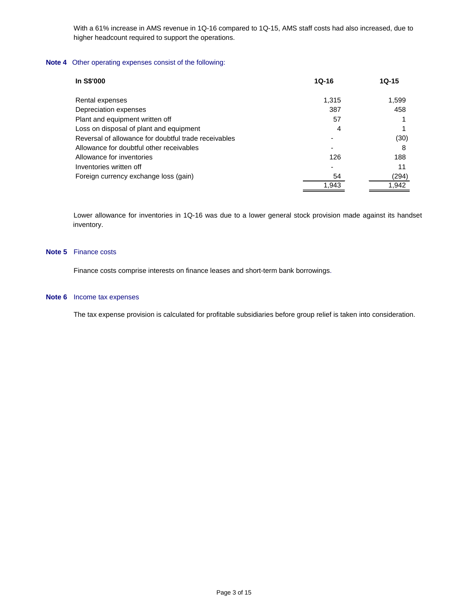With a 61% increase in AMS revenue in 1Q-16 compared to 1Q-15, AMS staff costs had also increased, due to higher headcount required to support the operations.

## **Note 4** Other operating expenses consist of the following:

| In S\$'000                                           | $10 - 16$ | $10 - 15$ |
|------------------------------------------------------|-----------|-----------|
| Rental expenses                                      | 1.315     | 1,599     |
| Depreciation expenses                                | 387       | 458       |
| Plant and equipment written off                      | 57        |           |
| Loss on disposal of plant and equipment              | 4         |           |
| Reversal of allowance for doubtful trade receivables |           | (30)      |
| Allowance for doubtful other receivables             |           | 8         |
| Allowance for inventories                            | 126       | 188       |
| Inventories written off                              |           | 11        |
| Foreign currency exchange loss (gain)                | 54        | (294)     |
|                                                      | 1.943     | 1.942     |

Lower allowance for inventories in 1Q-16 was due to a lower general stock provision made against its handset inventory.

#### **Note 5** Finance costs

Finance costs comprise interests on finance leases and short-term bank borrowings.

#### **Note 6** Income tax expenses

The tax expense provision is calculated for profitable subsidiaries before group relief is taken into consideration.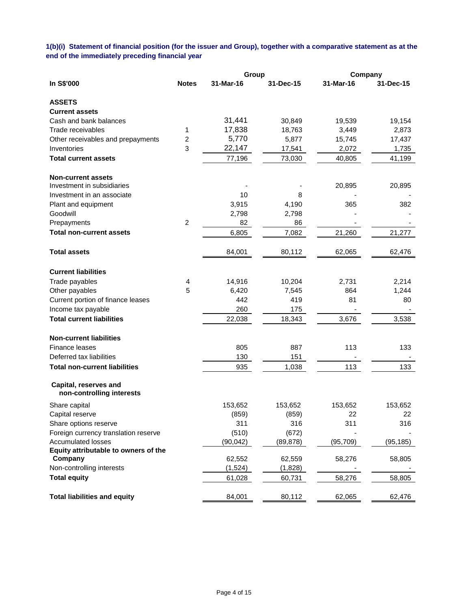**1(b)(i) Statement of financial position (for the issuer and Group), together with a comparative statement as at the end of the immediately preceding financial year**

|                                                    |                | Group     |           | Company   |           |
|----------------------------------------------------|----------------|-----------|-----------|-----------|-----------|
| In S\$'000                                         | <b>Notes</b>   | 31-Mar-16 | 31-Dec-15 | 31-Mar-16 | 31-Dec-15 |
| <b>ASSETS</b>                                      |                |           |           |           |           |
| <b>Current assets</b>                              |                |           |           |           |           |
| Cash and bank balances                             |                | 31,441    | 30,849    | 19,539    | 19,154    |
| Trade receivables                                  | 1              | 17,838    | 18,763    | 3,449     | 2,873     |
| Other receivables and prepayments                  | $\overline{c}$ | 5,770     | 5,877     | 15,745    | 17,437    |
| Inventories                                        | 3              | 22,147    | 17,541    | 2,072     | 1,735     |
| <b>Total current assets</b>                        |                | 77,196    | 73,030    | 40,805    | 41,199    |
| <b>Non-current assets</b>                          |                |           |           |           |           |
| Investment in subsidiaries                         |                |           |           | 20,895    | 20,895    |
| Investment in an associate                         |                | 10        | 8         |           |           |
| Plant and equipment                                |                | 3,915     | 4,190     | 365       | 382       |
| Goodwill                                           |                | 2,798     | 2,798     |           |           |
| Prepayments                                        | $\overline{c}$ | 82        | 86        |           |           |
| <b>Total non-current assets</b>                    |                | 6,805     | 7,082     | 21,260    | 21,277    |
| <b>Total assets</b>                                |                | 84,001    | 80,112    | 62,065    | 62,476    |
| <b>Current liabilities</b>                         |                |           |           |           |           |
| Trade payables                                     | 4              | 14,916    | 10,204    | 2,731     | 2,214     |
| Other payables                                     | 5              | 6,420     | 7,545     | 864       | 1,244     |
| Current portion of finance leases                  |                | 442       | 419       | 81        | 80        |
| Income tax payable                                 |                | 260       | 175       |           |           |
| <b>Total current liabilities</b>                   |                | 22,038    | 18,343    | 3,676     | 3,538     |
| <b>Non-current liabilities</b>                     |                |           |           |           |           |
| Finance leases                                     |                | 805       | 887       | 113       | 133       |
| Deferred tax liabilities                           |                | 130       | 151       |           |           |
| <b>Total non-current liabilities</b>               |                | 935       | 1,038     | 113       | 133       |
| Capital, reserves and<br>non-controlling interests |                |           |           |           |           |
| Share capital                                      |                | 153,652   | 153,652   | 153,652   | 153,652   |
| Capital reserve                                    |                | (859)     | (859)     | 22        | 22        |
| Share options reserve                              |                | 311       | 316       | 311       | 316       |
| Foreign currency translation reserve               |                | (510)     | (672)     |           |           |
| <b>Accumulated losses</b>                          |                | (90,042)  | (89, 878) | (95, 709) | (95, 185) |
| Equity attributable to owners of the               |                |           |           |           |           |
| Company                                            |                | 62,552    | 62,559    | 58,276    | 58,805    |
| Non-controlling interests                          |                | (1,524)   | (1,828)   |           |           |
| <b>Total equity</b>                                |                | 61,028    | 60,731    | 58,276    | 58,805    |
| <b>Total liabilities and equity</b>                |                | 84,001    | 80,112    | 62,065    | 62,476    |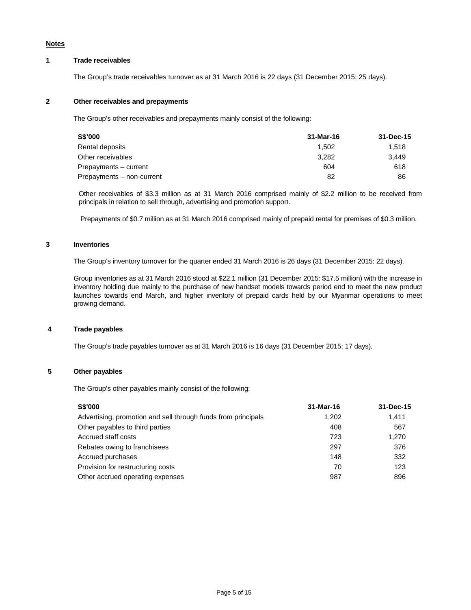#### **Notes**

## **1 Trade receivables**

The Group's trade receivables turnover as at 31 March 2016 is 22 days (31 December 2015: 25 days).

## **2 Other receivables and prepayments**

The Group's other receivables and prepayments mainly consist of the following:

| S\$'000                   | 31-Mar-16 | 31-Dec-15 |
|---------------------------|-----------|-----------|
| Rental deposits           | 1.502     | 1.518     |
| Other receivables         | 3.282     | 3.449     |
| Prepayments - current     | 604       | 618       |
| Prepayments - non-current | 82        | 86        |

Other receivables of \$3.3 million as at 31 March 2016 comprised mainly of \$2.2 million to be received from principals in relation to sell through, advertising and promotion support.

Prepayments of \$0.7 million as at 31 March 2016 comprised mainly of prepaid rental for premises of \$0.3 million.

#### **3 Inventories**

The Group's inventory turnover for the quarter ended 31 March 2016 is 26 days (31 December 2015: 22 days).

Group inventories as at 31 March 2016 stood at \$22.1 million (31 December 2015: \$17.5 million) with the increase in inventory holding due mainly to the purchase of new handset models towards period end to meet the new product launches towards end March, and higher inventory of prepaid cards held by our Myanmar operations to meet growing demand.

#### **4 Trade payables**

The Group's trade payables turnover as at 31 March 2016 is 16 days (31 December 2015: 17 days).

## **5 Other payables**

The Group's other payables mainly consist of the following:

| <b>S\$'000</b>                                                | 31-Mar-16 | 31-Dec-15 |
|---------------------------------------------------------------|-----------|-----------|
| Advertising, promotion and sell through funds from principals | 1.202     | 1.411     |
| Other payables to third parties                               | 408       | 567       |
| Accrued staff costs                                           | 723       | 1,270     |
| Rebates owing to franchisees                                  | 297       | 376       |
| Accrued purchases                                             | 148       | 332       |
| Provision for restructuring costs                             | 70        | 123       |
| Other accrued operating expenses                              | 987       | 896       |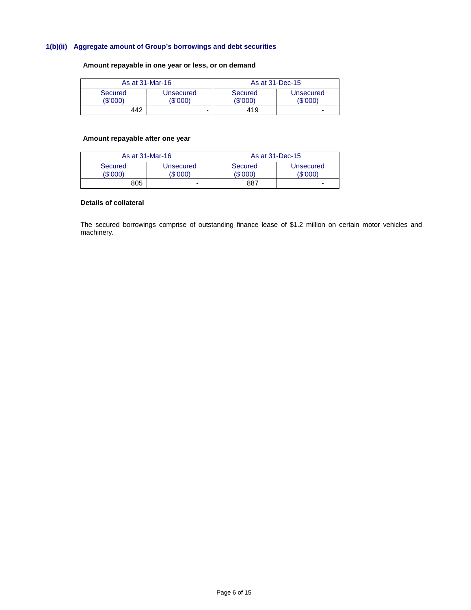# **1(b)(ii) Aggregate amount of Group's borrowings and debt securities**

## **Amount repayable in one year or less, or on demand**

| As at 31-Mar-16     |                       | As at 31-Dec-15   |                          |
|---------------------|-----------------------|-------------------|--------------------------|
| Secured<br>(\$'000) | Unsecured<br>(\$'000) | Secured<br>\$'000 | Unsecured<br>(\$'000)    |
| 442                 | -                     | 419               | $\overline{\phantom{0}}$ |

## **Amount repayable after one year**

| As at 31-Mar-16     |                       | As at 31-Dec-15            |                              |
|---------------------|-----------------------|----------------------------|------------------------------|
| Secured<br>(\$'000) | Unsecured<br>(\$'000) | <b>Secured</b><br>(\$'000) | <b>Unsecured</b><br>(\$'000) |
| 805                 | -                     | 887                        | $\overline{\phantom{0}}$     |

## **Details of collateral**

The secured borrowings comprise of outstanding finance lease of \$1.2 million on certain motor vehicles and machinery.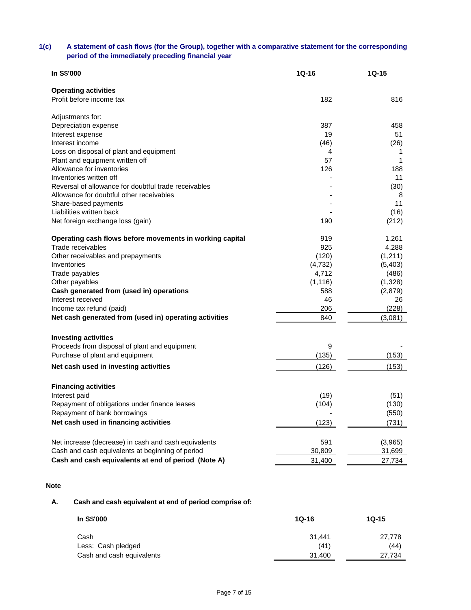# **1(c) A statement of cash flows (for the Group), together with a comparative statement for the corresponding period of the immediately preceding financial year**

| In S\$'000                                                                      | 1Q-16    | $1Q-15$  |
|---------------------------------------------------------------------------------|----------|----------|
| <b>Operating activities</b>                                                     |          |          |
| Profit before income tax                                                        | 182      | 816      |
| Adjustments for:                                                                |          |          |
| Depreciation expense                                                            | 387      | 458      |
| Interest expense                                                                | 19       | 51       |
| Interest income                                                                 | (46)     | (26)     |
| Loss on disposal of plant and equipment                                         | 4        | 1        |
| Plant and equipment written off                                                 | 57       | 1        |
| Allowance for inventories                                                       | 126      | 188      |
| Inventories written off<br>Reversal of allowance for doubtful trade receivables |          | 11       |
| Allowance for doubtful other receivables                                        |          | (30)     |
| Share-based payments                                                            |          | 8<br>11  |
| Liabilities written back                                                        |          | (16)     |
| Net foreign exchange loss (gain)                                                | 190      | (212)    |
|                                                                                 |          |          |
| Operating cash flows before movements in working capital                        | 919      | 1,261    |
| Trade receivables                                                               | 925      | 4,288    |
| Other receivables and prepayments                                               | (120)    | (1, 211) |
| Inventories                                                                     | (4, 732) | (5, 403) |
| Trade payables                                                                  | 4,712    | (486)    |
| Other payables                                                                  | (1, 116) | (1,328)  |
| Cash generated from (used in) operations                                        | 588      | (2,879)  |
| Interest received                                                               | 46       | 26       |
| Income tax refund (paid)                                                        | 206      | (228)    |
| Net cash generated from (used in) operating activities                          | 840      | (3,081)  |
| <b>Investing activities</b>                                                     |          |          |
| Proceeds from disposal of plant and equipment                                   | 9        |          |
| Purchase of plant and equipment                                                 | (135)    | (153)    |
| Net cash used in investing activities                                           | (126)    | (153)    |
| <b>Financing activities</b>                                                     |          |          |
| Interest paid                                                                   | (19)     | (51)     |
| Repayment of obligations under finance leases                                   | (104)    | (130)    |
| Repayment of bank borrowings                                                    |          | (550)    |
| Net cash used in financing activities                                           | (123)    | (731)    |
|                                                                                 |          |          |
| Net increase (decrease) in cash and cash equivalents                            | 591      | (3,965)  |
| Cash and cash equivalents at beginning of period                                | 30,809   | 31,699   |
| Cash and cash equivalents at end of period (Note A)                             | 31,400   | 27,734   |
|                                                                                 |          |          |

## **Note**

# **A. Cash and cash equivalent at end of period comprise of:**

| In S\$'000                | $10-16$ | $1Q-15$ |
|---------------------------|---------|---------|
| Cash                      | 31.441  | 27.778  |
| Less: Cash pledged        | (41)    | (44)    |
| Cash and cash equivalents | 31,400  | 27.734  |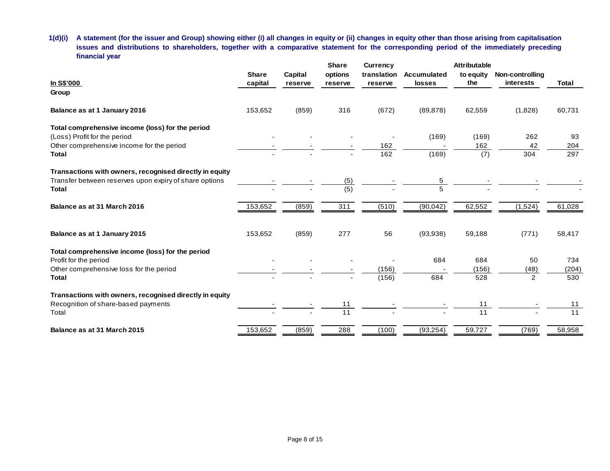**1(d)(i) A statement (for the issuer and Group) showing either (i) all changes in equity or (ii) changes in equity other than those arising from capitalisation issues and distributions to shareholders, together with a comparative statement for the corresponding period of the immediately preceding financial year**

|                                                         |              |         | <b>Share</b>    | <b>Currency</b> |             | Attributable |                 |        |
|---------------------------------------------------------|--------------|---------|-----------------|-----------------|-------------|--------------|-----------------|--------|
|                                                         | <b>Share</b> | Capital | options         | translation     | Accumulated | to equity    | Non-controlling |        |
| <b>In S\$'000</b>                                       | capital      | reserve | reserve         | reserve         | losses      | the          | interests       | Total  |
| Group                                                   |              |         |                 |                 |             |              |                 |        |
| Balance as at 1 January 2016                            | 153,652      | (859)   | 316             | (672)           | (89, 878)   | 62,559       | (1,828)         | 60,731 |
| Total comprehensive income (loss) for the period        |              |         |                 |                 |             |              |                 |        |
| (Loss) Profit for the period                            |              |         |                 |                 | (169)       | (169)        | 262             | 93     |
| Other comprehensive income for the period               |              |         |                 | 162             |             | 162          | 42              | 204    |
| <b>Total</b>                                            |              |         |                 | 162             | (169)       | (7)          | 304             | 297    |
| Transactions with owners, recognised directly in equity |              |         |                 |                 |             |              |                 |        |
| Transfer between reserves upon expiry of share options  |              |         | (5)             |                 | 5           |              |                 |        |
| <b>Total</b>                                            |              |         | (5)             |                 | 5           |              |                 |        |
| Balance as at 31 March 2016                             | 153,652      | (859)   | 311             | (510)           | (90, 042)   | 62,552       | (1,524)         | 61,028 |
|                                                         |              |         |                 |                 |             |              |                 |        |
| Balance as at 1 January 2015                            | 153,652      | (859)   | 277             | 56              | (93, 938)   | 59,188       | (771)           | 58,417 |
| Total comprehensive income (loss) for the period        |              |         |                 |                 |             |              |                 |        |
| Profit for the period                                   |              |         |                 |                 | 684         | 684          | 50              | 734    |
| Other comprehensive loss for the period                 |              |         |                 | (156)           |             | (156)        | (48)            | (204)  |
| <b>Total</b>                                            |              |         |                 | (156)           | 684         | 528          | $\overline{2}$  | 530    |
| Transactions with owners, recognised directly in equity |              |         |                 |                 |             |              |                 |        |
| Recognition of share-based payments                     |              |         | 11              |                 |             | 11           |                 | 11     |
| Total                                                   |              |         | $\overline{11}$ |                 |             | 11           |                 | 11     |
| Balance as at 31 March 2015                             | 153,652      | (859)   | 288             | (100)           | (93, 254)   | 59,727       | (769)           | 58,958 |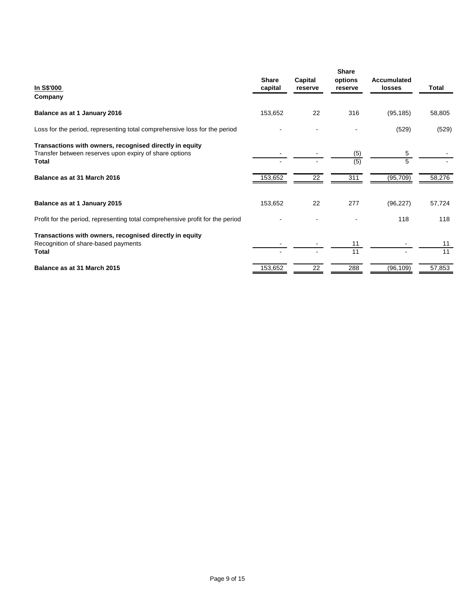| In S\$'000<br>Company                                                                                                      | <b>Share</b><br>capital | Capital<br>reserve | <b>Share</b><br>options<br>reserve | Accumulated<br><b>losses</b> | Total    |
|----------------------------------------------------------------------------------------------------------------------------|-------------------------|--------------------|------------------------------------|------------------------------|----------|
| Balance as at 1 January 2016                                                                                               | 153,652                 | 22                 | 316                                | (95, 185)                    | 58,805   |
| Loss for the period, representing total comprehensive loss for the period                                                  |                         |                    |                                    | (529)                        | (529)    |
| Transactions with owners, recognised directly in equity<br>Transfer between reserves upon expiry of share options<br>Total |                         |                    | (5)<br>(5)                         | 5<br>5                       |          |
| Balance as at 31 March 2016                                                                                                | 153,652                 | 22                 | 311                                | (95, 709)                    | 58,276   |
| Balance as at 1 January 2015                                                                                               | 153,652                 | 22                 | 277                                | (96, 227)                    | 57,724   |
| Profit for the period, representing total comprehensive profit for the period                                              |                         |                    |                                    | 118                          | 118      |
| Transactions with owners, recognised directly in equity<br>Recognition of share-based payments<br>Total                    |                         |                    | 11<br>11                           |                              | 11<br>11 |
| Balance as at 31 March 2015                                                                                                | 153,652                 | 22                 | 288                                | (96, 109)                    | 57,853   |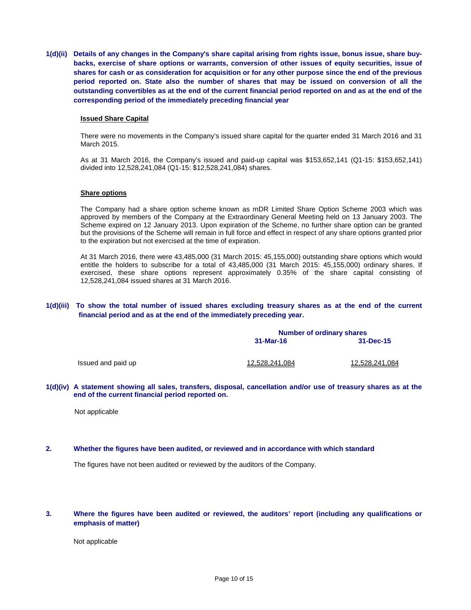**1(d)(ii) Details of any changes in the Company's share capital arising from rights issue, bonus issue, share buybacks, exercise of share options or warrants, conversion of other issues of equity securities, issue of shares for cash or as consideration for acquisition or for any other purpose since the end of the previous period reported on. State also the number of shares that may be issued on conversion of all the outstanding convertibles as at the end of the current financial period reported on and as at the end of the corresponding period of the immediately preceding financial year**

#### **Issued Share Capital**

There were no movements in the Company's issued share capital for the quarter ended 31 March 2016 and 31 March 2015.

As at 31 March 2016, the Company's issued and paid-up capital was \$153,652,141 (Q1-15: \$153,652,141) divided into 12,528,241,084 (Q1-15: \$12,528,241,084) shares.

#### **Share options**

The Company had a share option scheme known as mDR Limited Share Option Scheme 2003 which was approved by members of the Company at the Extraordinary General Meeting held on 13 January 2003. The Scheme expired on 12 January 2013. Upon expiration of the Scheme, no further share option can be granted but the provisions of the Scheme will remain in full force and effect in respect of any share options granted prior to the expiration but not exercised at the time of expiration.

At 31 March 2016, there were 43,485,000 (31 March 2015: 45,155,000) outstanding share options which would entitle the holders to subscribe for a total of 43,485,000 (31 March 2015: 45,155,000) ordinary shares. If exercised, these share options represent approximately 0.35% of the share capital consisting of 12,528,241,084 issued shares at 31 March 2016.

#### **1(d)(iii) To show the total number of issued shares excluding treasury shares as at the end of the current financial period and as at the end of the immediately preceding year.**

|                    | <b>Number of ordinary shares</b> |                       |  |
|--------------------|----------------------------------|-----------------------|--|
|                    | 31-Mar-16                        | $31 - Dec - 15$       |  |
| Issued and paid up | 12,528,241,084                   | <u>12,528,241,084</u> |  |

**1(d)(iv) A statement showing all sales, transfers, disposal, cancellation and/or use of treasury shares as at the end of the current financial period reported on.**

Not applicable

#### **2. Whether the figures have been audited, or reviewed and in accordance with which standard**

The figures have not been audited or reviewed by the auditors of the Company.

### **3. Where the figures have been audited or reviewed, the auditors' report (including any qualifications or emphasis of matter)**

Not applicable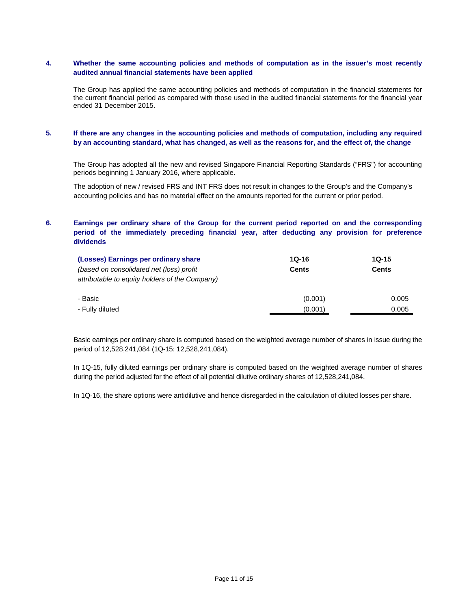## **4. Whether the same accounting policies and methods of computation as in the issuer's most recently audited annual financial statements have been applied**

The Group has applied the same accounting policies and methods of computation in the financial statements for the current financial period as compared with those used in the audited financial statements for the financial year ended 31 December 2015.

## **5. If there are any changes in the accounting policies and methods of computation, including any required by an accounting standard, what has changed, as well as the reasons for, and the effect of, the change**

The Group has adopted all the new and revised Singapore Financial Reporting Standards ("FRS") for accounting periods beginning 1 January 2016, where applicable.

The adoption of new / revised FRS and INT FRS does not result in changes to the Group's and the Company's accounting policies and has no material effect on the amounts reported for the current or prior period.

## **6. Earnings per ordinary share of the Group for the current period reported on and the corresponding period of the immediately preceding financial year, after deducting any provision for preference dividends**

| (Losses) Earnings per ordinary share           | $1Q-16$      | $10 - 15$    |  |
|------------------------------------------------|--------------|--------------|--|
| (based on consolidated net (loss) profit       | <b>Cents</b> | <b>Cents</b> |  |
| attributable to equity holders of the Company) |              |              |  |
| - Basic                                        | (0.001)      | 0.005        |  |
| - Fully diluted                                | (0.001)      | 0.005        |  |

Basic earnings per ordinary share is computed based on the weighted average number of shares in issue during the period of 12,528,241,084 (1Q-15: 12,528,241,084).

In 1Q-15, fully diluted earnings per ordinary share is computed based on the weighted average number of shares during the period adjusted for the effect of all potential dilutive ordinary shares of 12,528,241,084.

In 1Q-16, the share options were antidilutive and hence disregarded in the calculation of diluted losses per share.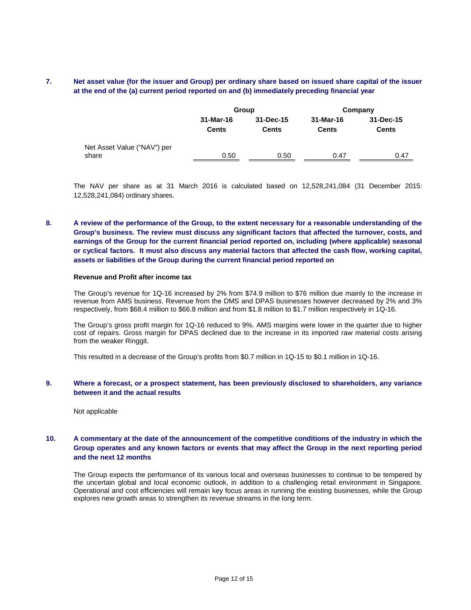## **7. Net asset value (for the issuer and Group) per ordinary share based on issued share capital of the issuer at the end of the (a) current period reported on and (b) immediately preceding financial year**

|                             |              | Group        | Company      |              |  |
|-----------------------------|--------------|--------------|--------------|--------------|--|
|                             | 31-Mar-16    | 31-Dec-15    | 31-Mar-16    | 31-Dec-15    |  |
|                             | <b>Cents</b> | <b>Cents</b> | <b>Cents</b> | <b>Cents</b> |  |
| Net Asset Value ("NAV") per |              |              |              |              |  |
| share                       | 0.50         | 0.50         | 0.47         | 0.47         |  |

The NAV per share as at 31 March 2016 is calculated based on 12,528,241,084 (31 December 2015: 12,528,241,084) ordinary shares.

## **8. A review of the performance of the Group, to the extent necessary for a reasonable understanding of the Group's business. The review must discuss any significant factors that affected the turnover, costs, and earnings of the Group for the current financial period reported on, including (where applicable) seasonal or cyclical factors. It must also discuss any material factors that affected the cash flow, working capital, assets or liabilities of the Group during the current financial period reported on**

#### **Revenue and Profit after income tax**

The Group's revenue for 1Q-16 increased by 2% from \$74.9 million to \$76 million due mainly to the increase in revenue from AMS business. Revenue from the DMS and DPAS businesses however decreased by 2% and 3% respectively, from \$68.4 million to \$66.8 million and from \$1.8 million to \$1.7 million respectively in 1Q-16.

The Group's gross profit margin for 1Q-16 reduced to 9%. AMS margins were lower in the quarter due to higher cost of repairs. Gross margin for DPAS declined due to the increase in its imported raw material costs arising from the weaker Ringgit.

This resulted in a decrease of the Group's profits from \$0.7 million in 1Q-15 to \$0.1 million in 1Q-16.

### **9. Where a forecast, or a prospect statement, has been previously disclosed to shareholders, any variance between it and the actual results**

Not applicable

## **10. A commentary at the date of the announcement of the competitive conditions of the industry in which the Group operates and any known factors or events that may affect the Group in the next reporting period and the next 12 months**

The Group expects the performance of its various local and overseas businesses to continue to be tempered by the uncertain global and local economic outlook, in addition to a challenging retail environment in Singapore. Operational and cost efficiencies will remain key focus areas in running the existing businesses, while the Group explores new growth areas to strengthen its revenue streams in the long term.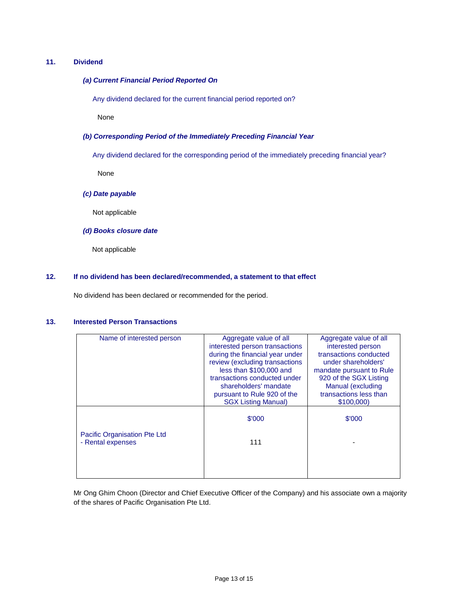## **11. Dividend**

## *(a) Current Financial Period Reported On*

Any dividend declared for the current financial period reported on?

None

### *(b) Corresponding Period of the Immediately Preceding Financial Year*

Any dividend declared for the corresponding period of the immediately preceding financial year?

None

### *(c) Date payable*

Not applicable

## *(d) Books closure date*

Not applicable

#### **12. If no dividend has been declared/recommended, a statement to that effect**

No dividend has been declared or recommended for the period.

## **13. Interested Person Transactions**

| Name of interested person    | Aggregate value of all          | Aggregate value of all   |
|------------------------------|---------------------------------|--------------------------|
|                              | interested person transactions  | interested person        |
|                              | during the financial year under | transactions conducted   |
|                              | review (excluding transactions  | under shareholders'      |
|                              | less than \$100,000 and         | mandate pursuant to Rule |
|                              | transactions conducted under    | 920 of the SGX Listing   |
|                              | shareholders' mandate           | Manual (excluding        |
|                              | pursuant to Rule 920 of the     | transactions less than   |
|                              | <b>SGX Listing Manual)</b>      | \$100,000                |
|                              |                                 |                          |
|                              | \$'000                          | \$'000                   |
|                              |                                 |                          |
| Pacific Organisation Pte Ltd |                                 |                          |
| - Rental expenses            | 111                             |                          |
|                              |                                 |                          |
|                              |                                 |                          |
|                              |                                 |                          |
|                              |                                 |                          |

Mr Ong Ghim Choon (Director and Chief Executive Officer of the Company) and his associate own a majority of the shares of Pacific Organisation Pte Ltd.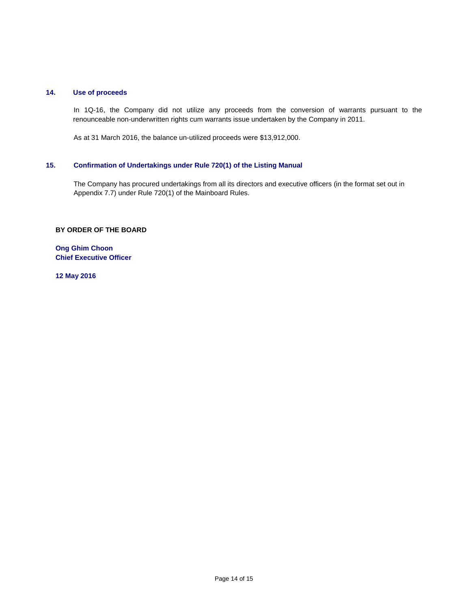## **14. Use of proceeds**

In 1Q-16, the Company did not utilize any proceeds from the conversion of warrants pursuant to the renounceable non-underwritten rights cum warrants issue undertaken by the Company in 2011.

As at 31 March 2016, the balance un-utilized proceeds were \$13,912,000.

# **15. Confirmation of Undertakings under Rule 720(1) of the Listing Manual**

The Company has procured undertakings from all its directors and executive officers (in the format set out in Appendix 7.7) under Rule 720(1) of the Mainboard Rules.

### **BY ORDER OF THE BOARD**

**Ong Ghim Choon Chief Executive Officer**

**12 May 2016**